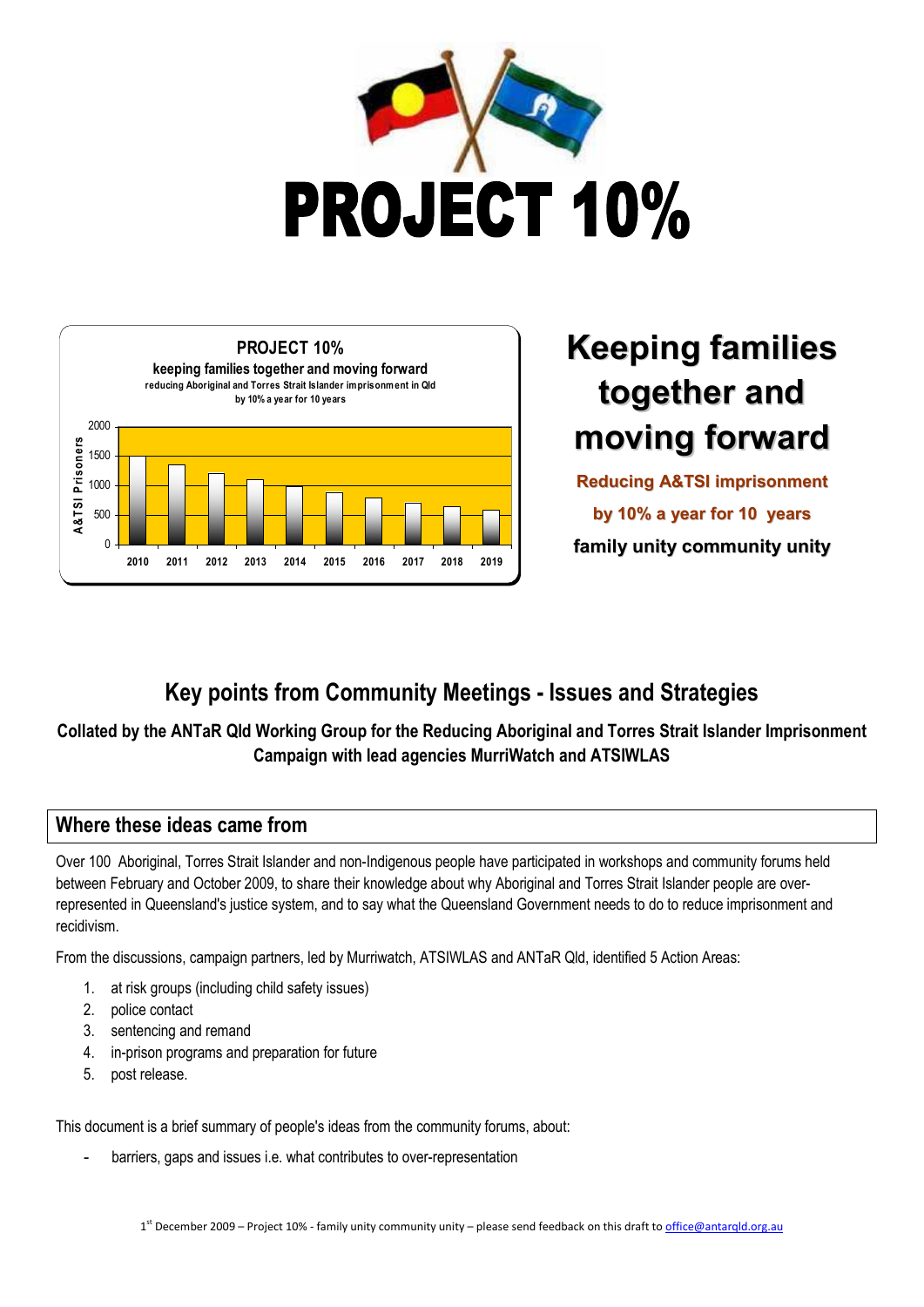



# **Keeping families together and moving forward**

**Reducing A&TSI imprisonment by 10% a year for 10 years family unity community unity**

# **Key points from Community Meetings - Issues and Strategies**

## **Collated by the ANTaR Qld Working Group for the Reducing Aboriginal and Torres Strait Islander Imprisonment Campaign with lead agencies MurriWatch and ATSIWLAS**

### **Where these ideas came from**

Over 100 Aboriginal, Torres Strait Islander and non-Indigenous people have participated in workshops and community forums held between February and October 2009, to share their knowledge about why Aboriginal and Torres Strait Islander people are overrepresented in Queensland's justice system, and to say what the Queensland Government needs to do to reduce imprisonment and recidivism.

From the discussions, campaign partners, led by Murriwatch, ATSIWLAS and ANTaR Qld, identified 5 Action Areas:

- 1. at risk groups (including child safety issues)
- 2. police contact
- 3. sentencing and remand
- 4. in-prison programs and preparation for future
- 5. post release.

This document is a brief summary of people's ideas from the community forums, about:

barriers, gaps and issues i.e. what contributes to over-representation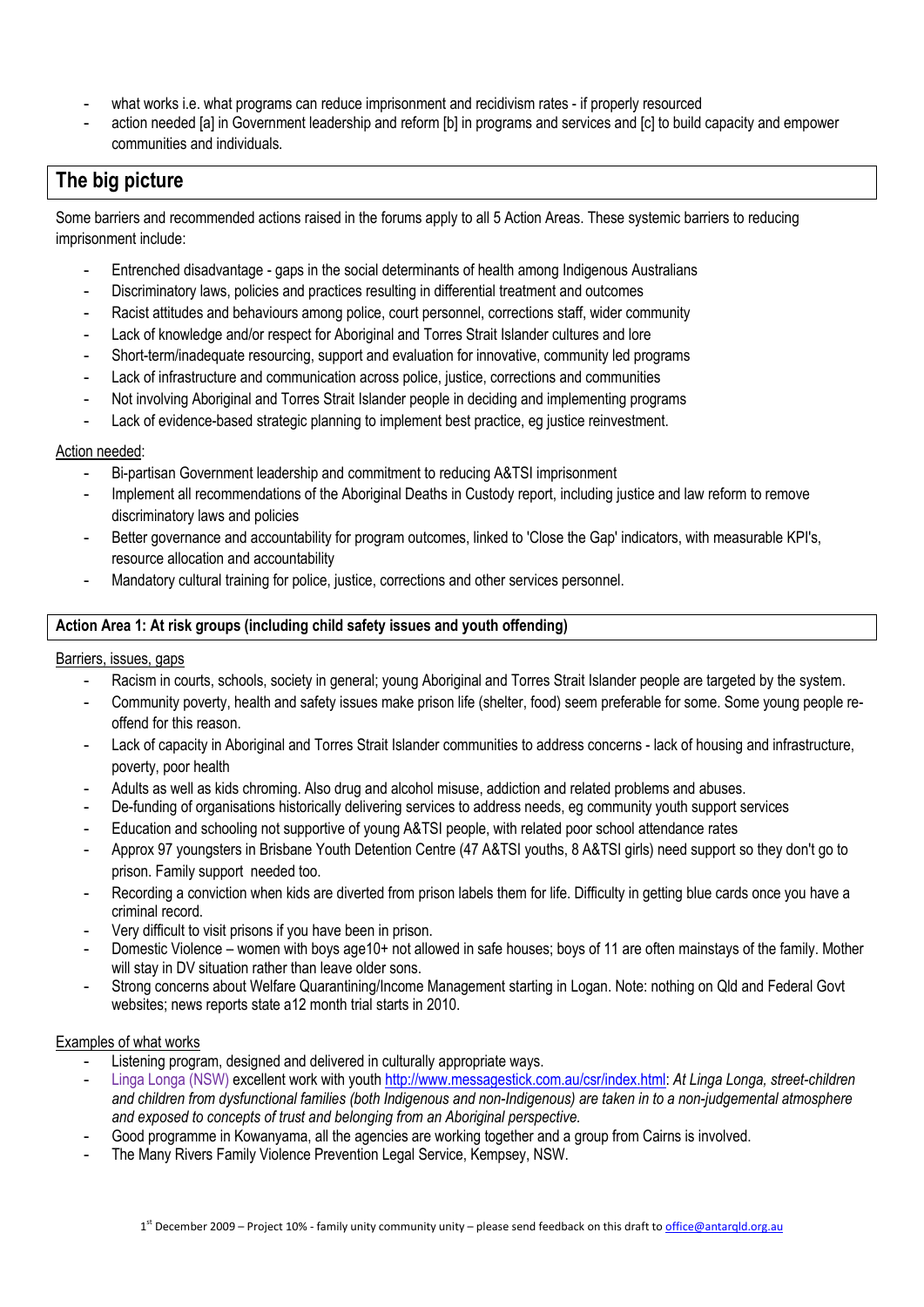- what works i.e. what programs can reduce imprisonment and recidivism rates if properly resourced
- action needed [a] in Government leadership and reform [b] in programs and services and [c] to build capacity and empower communities and individuals.

# **The big picture**

Some barriers and recommended actions raised in the forums apply to all 5 Action Areas. These systemic barriers to reducing imprisonment include:

- Entrenched disadvantage gaps in the social determinants of health among Indigenous Australians
- Discriminatory laws, policies and practices resulting in differential treatment and outcomes
- Racist attitudes and behaviours among police, court personnel, corrections staff, wider community
- Lack of knowledge and/or respect for Aboriginal and Torres Strait Islander cultures and lore
- Short-term/inadequate resourcing, support and evaluation for innovative, community led programs
- Lack of infrastructure and communication across police, justice, corrections and communities
- Not involving Aboriginal and Torres Strait Islander people in deciding and implementing programs
- Lack of evidence-based strategic planning to implement best practice, eg justice reinvestment.

#### Action needed:

- Bi-partisan Government leadership and commitment to reducing A&TSI imprisonment
- Implement all recommendations of the Aboriginal Deaths in Custody report, including justice and law reform to remove discriminatory laws and policies
- Better governance and accountability for program outcomes, linked to 'Close the Gap' indicators, with measurable KPI's, resource allocation and accountability
- Mandatory cultural training for police, justice, corrections and other services personnel.

#### **Action Area 1: At risk groups (including child safety issues and youth offending)**

#### Barriers, issues, gaps

- Racism in courts, schools, society in general; young Aboriginal and Torres Strait Islander people are targeted by the system.
- Community poverty, health and safety issues make prison life (shelter, food) seem preferable for some. Some young people reoffend for this reason.
- Lack of capacity in Aboriginal and Torres Strait Islander communities to address concerns lack of housing and infrastructure, poverty, poor health
- Adults as well as kids chroming. Also drug and alcohol misuse, addiction and related problems and abuses.
- De-funding of organisations historically delivering services to address needs, eg community youth support services
- Education and schooling not supportive of young A&TSI people, with related poor school attendance rates
- Approx 97 youngsters in Brisbane Youth Detention Centre (47 A&TSI youths, 8 A&TSI girls) need support so they don't go to prison. Family support needed too.
- Recording a conviction when kids are diverted from prison labels them for life. Difficulty in getting blue cards once you have a criminal record.
- Very difficult to visit prisons if you have been in prison.
- Domestic Violence women with boys age10+ not allowed in safe houses; boys of 11 are often mainstays of the family. Mother will stay in DV situation rather than leave older sons.
- Strong concerns about Welfare Quarantining/Income Management starting in Logan. Note: nothing on Qld and Federal Govt websites; news reports state a12 month trial starts in 2010.

#### Examples of what works

- Listening program, designed and delivered in culturally appropriate ways.
- Linga Longa (NSW) excellent work with youth http://www.messagestick.com.au/csr/index.html: *At Linga Longa, street-children and children from dysfunctional families (both Indigenous and non-Indigenous) are taken in to a non-judgemental atmosphere and exposed to concepts of trust and belonging from an Aboriginal perspective.*
- Good programme in Kowanyama, all the agencies are working together and a group from Cairns is involved.
- The Many Rivers Family Violence Prevention Legal Service, Kempsey, NSW.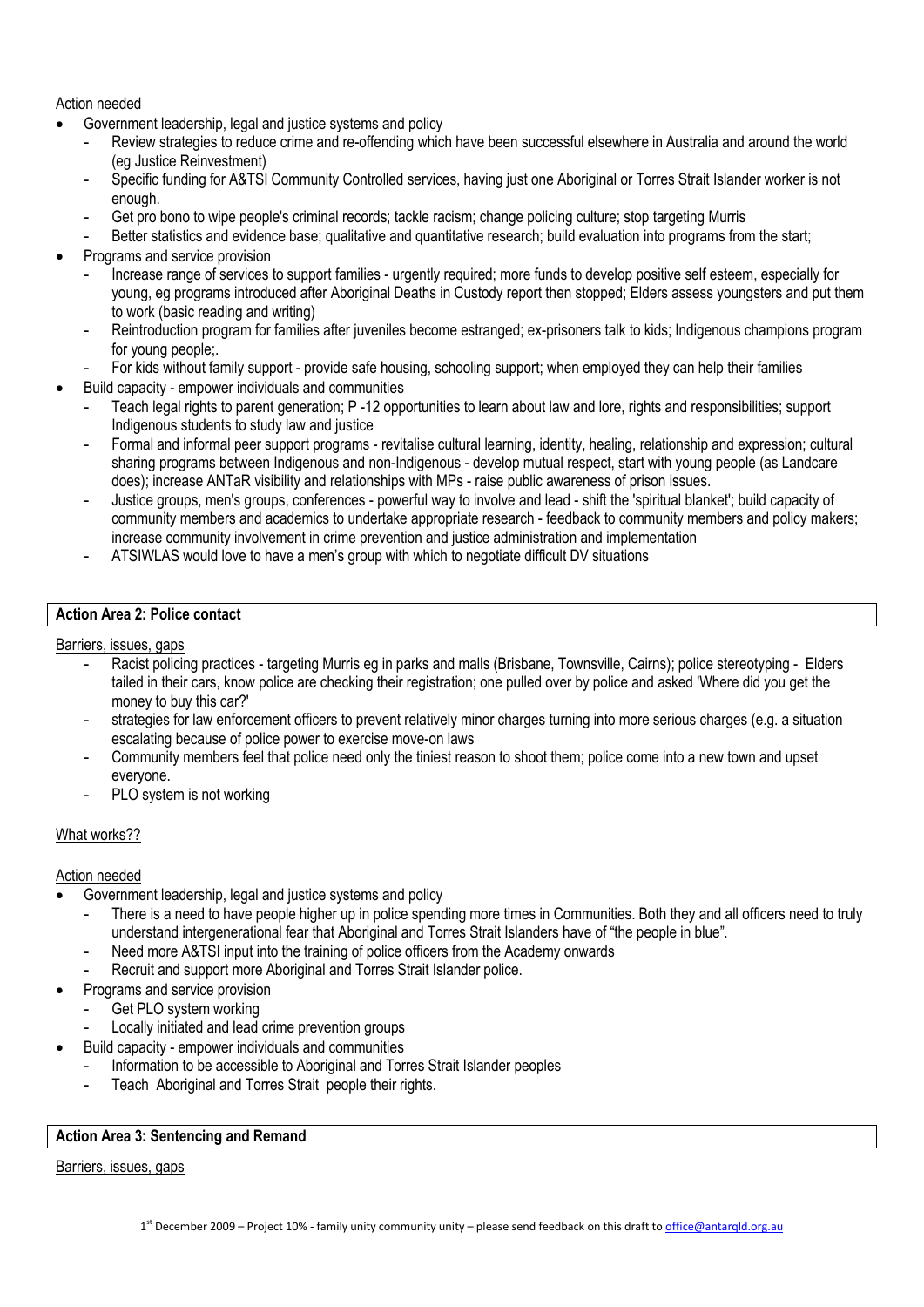Action needed

- Government leadership, legal and justice systems and policy
	- Review strategies to reduce crime and re-offending which have been successful elsewhere in Australia and around the world (eg Justice Reinvestment)
	- Specific funding for A&TSI Community Controlled services, having just one Aboriginal or Torres Strait Islander worker is not enough.
	- Get pro bono to wipe people's criminal records; tackle racism; change policing culture; stop targeting Murris
	- Better statistics and evidence base; qualitative and quantitative research; build evaluation into programs from the start;
- Programs and service provision
	- Increase range of services to support families urgently required; more funds to develop positive self esteem, especially for young, eg programs introduced after Aboriginal Deaths in Custody report then stopped; Elders assess youngsters and put them to work (basic reading and writing)
	- Reintroduction program for families after juveniles become estranged; ex-prisoners talk to kids; Indigenous champions program for young people;.
	- For kids without family support provide safe housing, schooling support; when employed they can help their families
- Build capacity empower individuals and communities
	- Teach legal rights to parent generation; P -12 opportunities to learn about law and lore, rights and responsibilities; support Indigenous students to study law and justice
	- Formal and informal peer support programs revitalise cultural learning, identity, healing, relationship and expression; cultural sharing programs between Indigenous and non-Indigenous - develop mutual respect, start with young people (as Landcare does); increase ANTaR visibility and relationships with MPs - raise public awareness of prison issues.
	- Justice groups, men's groups, conferences powerful way to involve and lead shift the 'spiritual blanket'; build capacity of community members and academics to undertake appropriate research - feedback to community members and policy makers; increase community involvement in crime prevention and justice administration and implementation
	- ATSIWLAS would love to have a men's group with which to negotiate difficult DV situations

#### **Action Area 2: Police contact**

Barriers, issues, gaps

- Racist policing practices targeting Murris eg in parks and malls (Brisbane, Townsville, Cairns); police stereotyping Elders tailed in their cars, know police are checking their registration; one pulled over by police and asked 'Where did you get the money to buy this car?'
- strategies for law enforcement officers to prevent relatively minor charges turning into more serious charges (e.g. a situation escalating because of police power to exercise move-on laws
- Community members feel that police need only the tiniest reason to shoot them; police come into a new town and upset everyone.
- PLO system is not working

#### What works??

#### Action needed

- Government leadership, legal and justice systems and policy
	- There is a need to have people higher up in police spending more times in Communities. Both they and all officers need to truly understand intergenerational fear that Aboriginal and Torres Strait Islanders have of "the people in blue".
	- Need more A&TSI input into the training of police officers from the Academy onwards
	- Recruit and support more Aboriginal and Torres Strait Islander police.
	- Programs and service provision
		- Get PLO system working
		- Locally initiated and lead crime prevention groups
- Build capacity empower individuals and communities
	- Information to be accessible to Aboriginal and Torres Strait Islander peoples
	- Teach Aboriginal and Torres Strait people their rights.

#### **Action Area 3: Sentencing and Remand**

#### Barriers, issues, gaps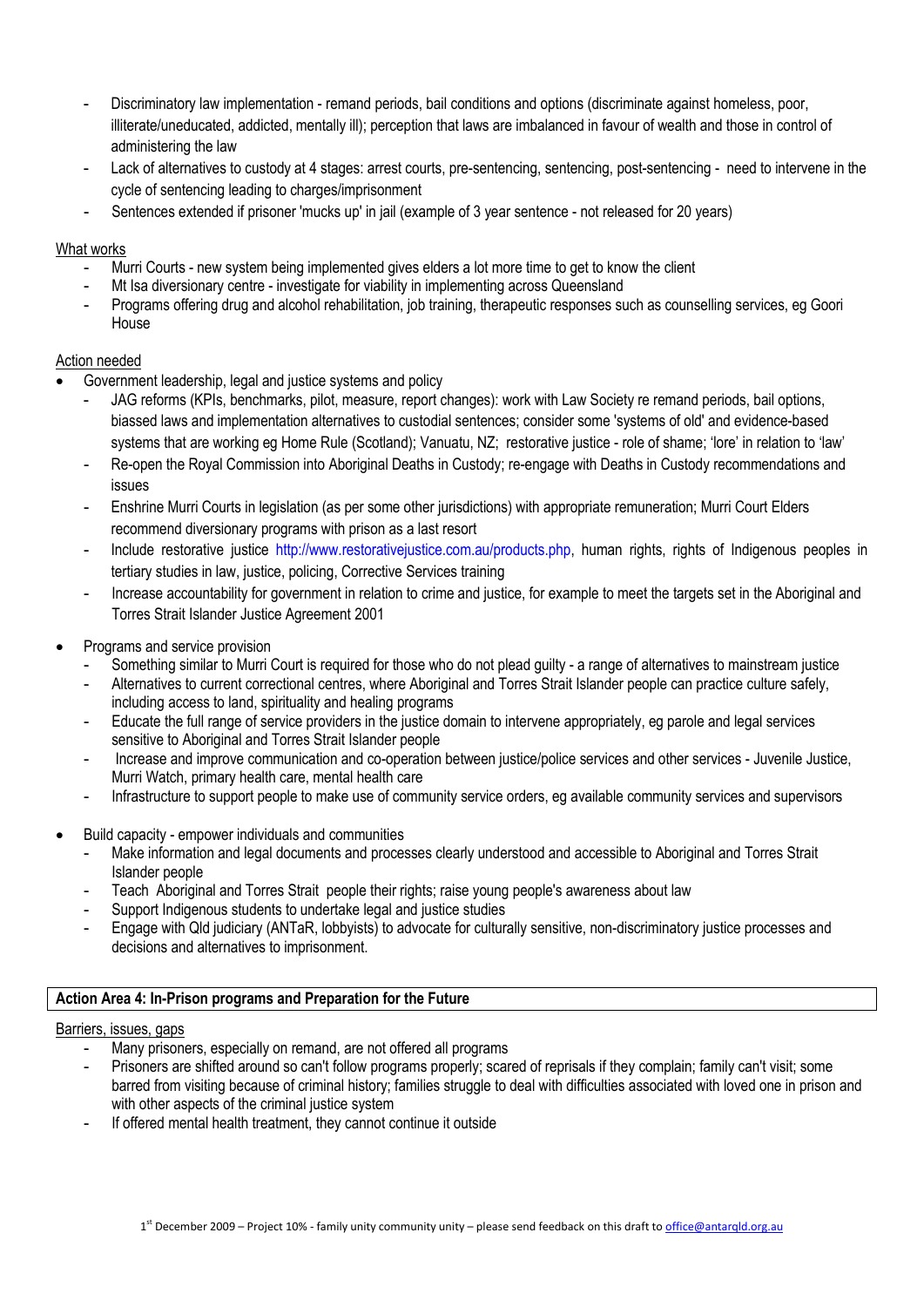- Discriminatory law implementation remand periods, bail conditions and options (discriminate against homeless, poor, illiterate/uneducated, addicted, mentally ill); perception that laws are imbalanced in favour of wealth and those in control of administering the law
- Lack of alternatives to custody at 4 stages: arrest courts, pre-sentencing, sentencing, post-sentencing need to intervene in the cycle of sentencing leading to charges/imprisonment
- Sentences extended if prisoner 'mucks up' in jail (example of 3 year sentence not released for 20 years)

#### What works

- Murri Courts new system being implemented gives elders a lot more time to get to know the client
- Mt Isa diversionary centre investigate for viability in implementing across Queensland
- Programs offering drug and alcohol rehabilitation, job training, therapeutic responses such as counselling services, eg Goori House

#### Action needed

- Government leadership, legal and justice systems and policy
	- JAG reforms (KPIs, benchmarks, pilot, measure, report changes): work with Law Society re remand periods, bail options, biassed laws and implementation alternatives to custodial sentences; consider some 'systems of old' and evidence-based systems that are working eg Home Rule (Scotland); Vanuatu, NZ; restorative justice - role of shame; 'lore' in relation to 'law'
	- Re-open the Royal Commission into Aboriginal Deaths in Custody; re-engage with Deaths in Custody recommendations and issues
	- Enshrine Murri Courts in legislation (as per some other jurisdictions) with appropriate remuneration; Murri Court Elders recommend diversionary programs with prison as a last resort
	- Include restorative justice http://www.restorativejustice.com.au/products.php, human rights, rights of Indigenous peoples in tertiary studies in law, justice, policing, Corrective Services training
	- Increase accountability for government in relation to crime and justice, for example to meet the targets set in the Aboriginal and Torres Strait Islander Justice Agreement 2001
- Programs and service provision
	- Something similar to Murri Court is required for those who do not plead guilty a range of alternatives to mainstream justice
	- Alternatives to current correctional centres, where Aboriginal and Torres Strait Islander people can practice culture safely, including access to land, spirituality and healing programs
	- Educate the full range of service providers in the justice domain to intervene appropriately, eg parole and legal services sensitive to Aboriginal and Torres Strait Islander people
	- Increase and improve communication and co-operation between justice/police services and other services Juvenile Justice, Murri Watch, primary health care, mental health care
	- Infrastructure to support people to make use of community service orders, eg available community services and supervisors
- Build capacity empower individuals and communities
	- Make information and legal documents and processes clearly understood and accessible to Aboriginal and Torres Strait Islander people
	- Teach Aboriginal and Torres Strait people their rights; raise young people's awareness about law
	- Support Indigenous students to undertake legal and justice studies
	- Engage with Qld judiciary (ANTaR, lobbyists) to advocate for culturally sensitive, non-discriminatory justice processes and decisions and alternatives to imprisonment.

#### **Action Area 4: In-Prison programs and Preparation for the Future**

#### Barriers, issues, gaps

- Many prisoners, especially on remand, are not offered all programs
- Prisoners are shifted around so can't follow programs properly; scared of reprisals if they complain; family can't visit; some barred from visiting because of criminal history; families struggle to deal with difficulties associated with loved one in prison and with other aspects of the criminal justice system
- If offered mental health treatment, they cannot continue it outside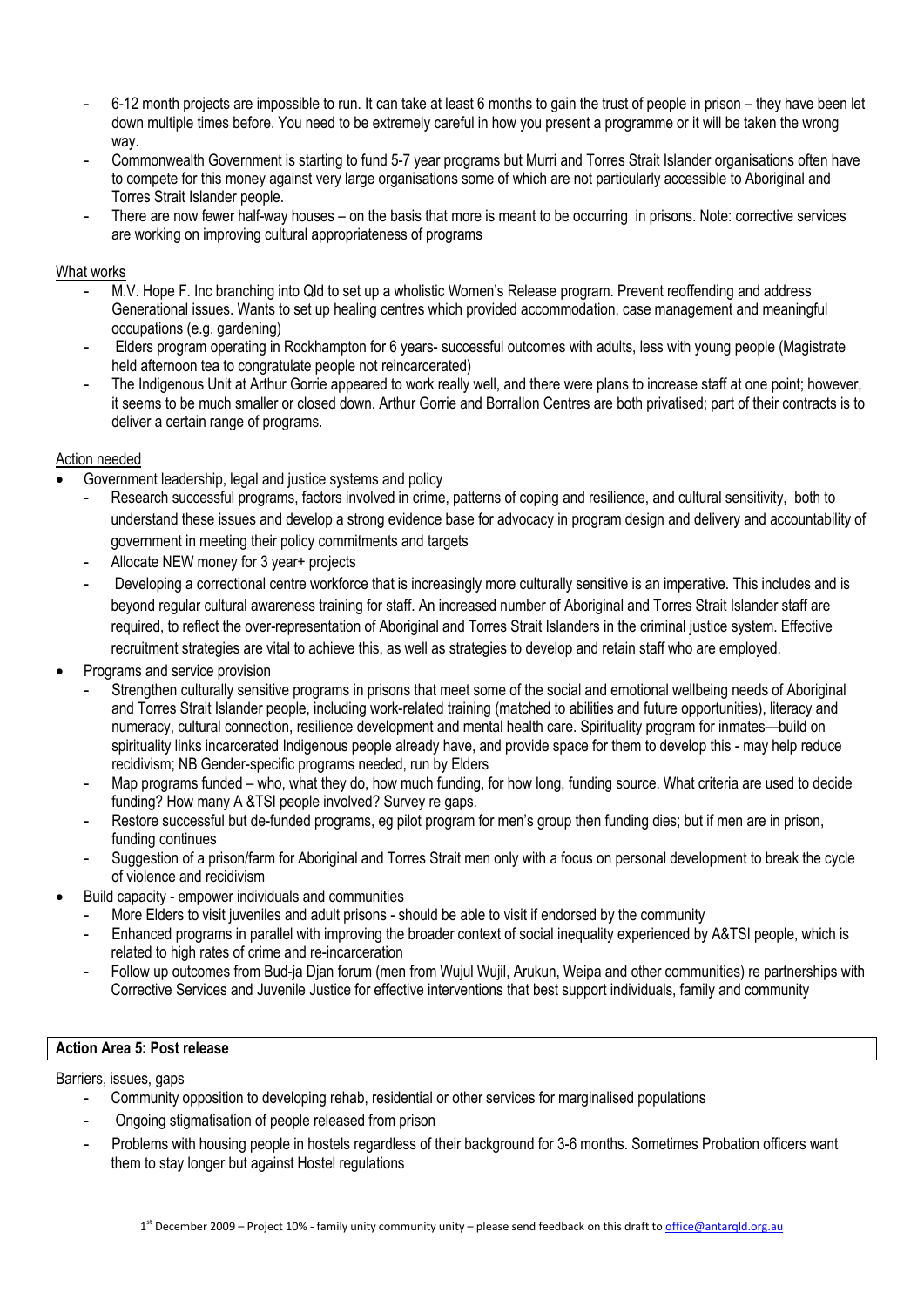- 6-12 month projects are impossible to run. It can take at least 6 months to gain the trust of people in prison they have been let down multiple times before. You need to be extremely careful in how you present a programme or it will be taken the wrong way.
- Commonwealth Government is starting to fund 5-7 year programs but Murri and Torres Strait Islander organisations often have to compete for this money against very large organisations some of which are not particularly accessible to Aboriginal and Torres Strait Islander people.
- There are now fewer half-way houses on the basis that more is meant to be occurring in prisons. Note: corrective services are working on improving cultural appropriateness of programs

#### What works

- M.V. Hope F. Inc branching into Qld to set up a wholistic Women's Release program. Prevent reoffending and address Generational issues. Wants to set up healing centres which provided accommodation, case management and meaningful occupations (e.g. gardening)
- Elders program operating in Rockhampton for 6 years- successful outcomes with adults, less with young people (Magistrate held afternoon tea to congratulate people not reincarcerated)
- The Indigenous Unit at Arthur Gorrie appeared to work really well, and there were plans to increase staff at one point; however, it seems to be much smaller or closed down. Arthur Gorrie and Borrallon Centres are both privatised; part of their contracts is to deliver a certain range of programs.

#### Action needed

- Government leadership, legal and justice systems and policy
	- Research successful programs, factors involved in crime, patterns of coping and resilience, and cultural sensitivity, both to understand these issues and develop a strong evidence base for advocacy in program design and delivery and accountability of government in meeting their policy commitments and targets
	- Allocate NEW money for 3 year+ projects
	- Developing a correctional centre workforce that is increasingly more culturally sensitive is an imperative. This includes and is beyond regular cultural awareness training for staff. An increased number of Aboriginal and Torres Strait Islander staff are required, to reflect the over-representation of Aboriginal and Torres Strait Islanders in the criminal justice system. Effective recruitment strategies are vital to achieve this, as well as strategies to develop and retain staff who are employed.
- Programs and service provision
	- Strengthen culturally sensitive programs in prisons that meet some of the social and emotional wellbeing needs of Aboriginal and Torres Strait Islander people, including work-related training (matched to abilities and future opportunities), literacy and numeracy, cultural connection, resilience development and mental health care. Spirituality program for inmates—build on spirituality links incarcerated Indigenous people already have, and provide space for them to develop this - may help reduce recidivism; NB Gender-specific programs needed, run by Elders
	- Map programs funded who, what they do, how much funding, for how long, funding source. What criteria are used to decide funding? How many A &TSI people involved? Survey re gaps.
	- Restore successful but de-funded programs, eg pilot program for men's group then funding dies; but if men are in prison, funding continues
	- Suggestion of a prison/farm for Aboriginal and Torres Strait men only with a focus on personal development to break the cycle of violence and recidivism
- Build capacity empower individuals and communities
	- More Elders to visit juveniles and adult prisons should be able to visit if endorsed by the community
	- Enhanced programs in parallel with improving the broader context of social inequality experienced by A&TSI people, which is related to high rates of crime and re-incarceration
	- Follow up outcomes from Bud-ja Djan forum (men from Wujul Wujil, Arukun, Weipa and other communities) re partnerships with Corrective Services and Juvenile Justice for effective interventions that best support individuals, family and community

#### **Action Area 5: Post release**

#### Barriers, issues, gaps

- Community opposition to developing rehab, residential or other services for marginalised populations
- Ongoing stigmatisation of people released from prison
- Problems with housing people in hostels regardless of their background for 3-6 months. Sometimes Probation officers want them to stay longer but against Hostel regulations